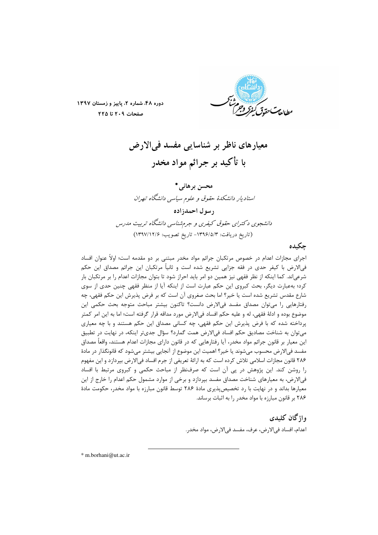

دوره ۴۸، شماره ۲، پاییز و زمستان ۱۳۹۷ صفحات ٢٠٩ تا ٢٢٥

معيارهاي ناظر بر شناسايي مفسد في الارض با تأكيد بر جرائم مواد مخدر

محسن بر هانی \* استادیار دانشکدهٔ حقوق و علوم سیاسی دانشگاه تهران رسول احمدزاده دانشجوی دکترای حقوق کیفری و جرم شناسی دانشگاه تربیت مدرس (تاريخ دريافت: ١٣٩۶/٥/٣ - تاريخ تصويب: ١٣٩٧/١٢/٤)

# چكىدە

اجرای مجازات اعدام در خصوص مرتکبان جرائم مواد مخدر مبتنی بر دو مقدمه است؛ اولاً عنوان افساد فی|لارض با کیفر حدی در فقه جزایی تشریع شده است و ثانیاً مرتکبان این جرائم مصداق این حکم شرعی|ند. کما اینکه از نظر فقهی نیز همین دو امر باید احراز شود تا بتوان مجازات اعدام را بر مرتکبان بار کرد؛ به عبارت دیگر، بحث کبروی این حکم عبارت است از اینکه آیا از منظر فقهی چنین حدی از سوی شارع مقدس تشريع شده است يا خير؟ اما بحث صغروى آن است كه بر فرض پذيرش اين حكم فقهي، چه رفتارهایی را میتوان مصداق مفسد فیالارض دانست؟ تاکنون بیشتر مباحث متوجه بحث حکمی این موضوع بوده و ادلهٔ فقهی، له و علیه حکم افساد فیالارض مورد مداقه قرار گرفته است؛ اما به این امر کمتر پرداخته شده که با فرض پذیرش این حکم فقهی، چه کسانی مصداق این حکم هستند و با چه معیاری می توان به شناخت مصادیق حکم افساد فی الارض همت گمارد؟ سؤال جدی تر اینکه، در نهایت در تطبیق این معیار بر قانون جرائم مواد مخدر، آیا رفتارهایی که در قانون دارای مجازات اعدام هستند، واقعاً مصداق مفسد في|لارض محسوب ميشوند يا خير؟ اهميت اين موضوع از آنجايي بيشتر ميشود كه قانونگذار در مادهٔ ۲۸۶ قانون مجازات اسلامی تلاش کرده است که به ارائهٔ تعریفی از جرم افساد فیالارض بپردازد و این مفهوم را روشن کند. این پژوهش در پی آن است که صرفنظر از مباحث حکمی و کبروی مرتبط با افساد فی|لارض، به معیارهای شناخت مصداق مفسد بپردازد و برخی از موارد مشمول حکم اعدام را خارج از این معیارها بداند و در نهایت با رد تخصیص پذیری مادهٔ ۲۸۶ توسط قانون مبارزه با مواد مخدر، حکومت مادهٔ ۲۸۶ بر قانون مبارزه با مواد مخدر را به اثبات برساند.

> واژگان كليدي اعدام، افساد في الارض، عرف، مفسد في الارض، مواد مخدر.

\* m.borhani@ut.ac.ir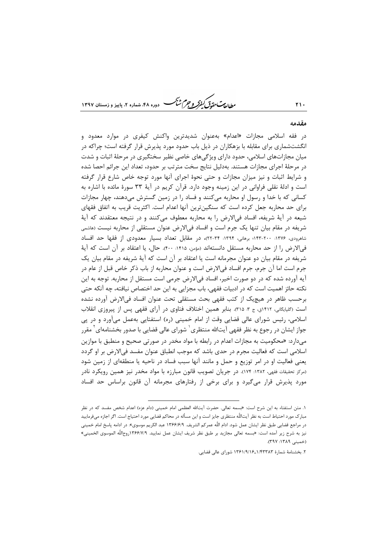-<br>۷- دوره ۴۸، شماره ۲، بابیز و زمستان ۱۳۹۷

#### مقدمه

در فقه اسلامی مجازات «اعدام» بهعنوان شدیدترین واکنش کیفری در موارد معدود و انگشتشماری برای مقابله با بزهکاران در ذیل باب حدود مورد پذیرش قرار گرفته است؛ چراکه در میان مجازاتهای اسلامی، حدود دارای ویژگیهای خاصی نظیر سختگیری در مرحلهٔ اثبات و شدت در مرحلهٔ اجرای مجازات هستند. بهدلیل نتایج سخت مترتب بر حدود، تعداد این جرائم احصا شده و شرایط اثبات و نیز میزان مجازات و حتی نحوهٔ اجرای آنها مورد توجه خاص شارع قرار گرفته است و ادلهٔ نقلی فراوانی در این زمینه وجود دارد. قرآن کریم در آیهٔ ۳۳ سورهٔ مائده با اشاره به کسانی که با خدا و رسول او محاربه می کنند و فساد را در زمین گسترش می دهند، چهار مجازات برای حد محاربه جعل کرده است که سنگین ترین آنها اعدام است. اکثریت قریب به اتفاق فقهای شیعه در آیهٔ شریفه، افساد فی الارض را به محاربه معطوف می کنند و در نتیجه معتقدند که آیهٔ شریفه در مقام بیان تنها یک جرم است و افساد فیالارض عنوان مستقلی از محاربه نیست (هاشمی شاهرودی، ۱۳۷۶: ۲۰۰-۱۴۳: برهانی، ۱۳۹۴: ۳۴-۲۲)، در مقابل تعداد بسیار معدودی از فقها حد افساد في الارض ,ا از حد محاربه مستقل دانستهاند (مؤمن، ۱۴۱۵: ۴۰۰). حال، يا اعتقاد بر آن است كه آية شریفه در مقام بیان دو عنوان مجرمانه است یا اعتقاد بر آن است که آیهٔ شریفه در مقام بیان یک جرم است اما آن جرم، جرم افساد في|لارض است و عنوان محاربه از باب ذكر خاص قبل از عام در آیه آورده شده که در دو صورت اخیر، افساد فیالارض جرمی است مستقل از محاربه. توجه به این نكته حائز اهميت است كه در ادبيات فقهي، باب مجزايي به اين حد اختصاص نيافته، چه آنكه حتى برحسب ظاهر در هیچیک از کتب فقهی بحث مستقلی تحت عنوان افساد فیالارض آورده نشده است (گلپایگانی، ۱۴۱۲ق، ج ۳. ۳۱۵). بنابر همین اختلاف فتاوی در آرای فقهی پس از پیروزی انقلاب اسلامی، رئیس شورای عالی قضایی وقت از امام خمینی (ره) استفتایی بهعمل میآورد و در پی جواز ایشان در رجوع به نظر فقهی آیتالله منتظری ٰ شورای عالی قضایی با صدور بخشنامهای ٔ مقرر میدارد: «محکومیت به مجازات اعدام در رابطه با مواد مخدر در صورتی صحیح و منطبق با موازین اسلامی است که فعالیت مجرم در حدی باشد که موجب انطباق عنوان مفسد فی|لارض بر او گردد یعنی فعالیت او در امر توزیع و حمل و مانند آنها سبب فساد در ناحیه یا منطقهای از زمین شود (مرکز تحقیقات فقهی، ۱۳۸۲: ۱۷۴). در جریان تصویب قانون مبارزه با مواد مخدر نیز همین رویکرد نادر مورد پذیرش قرار میگیرد و برای برخی از رفتارهای مجرمانه آن قانون براساس حد افساد

*طالعات حقوق كيفركو جرم شبح* 

١. متن استفتاء به اين شرح است: «بسمه تعالى. حضرت آيتالله العظمى امام خمينى (دام عزه) اعدام شخص مفسد كه در نظر مبارک مورد احتیاط است به نظر آیتاللَّه منتظری جایز است و این مسأله در محاکم قضایی مورد احتیاج است. اگر اجازه میفرمایید در مراجع قضايي طبق نظر ايشان عمل شود. ادام اللَّه عمركم الشريف. ١٣۶۶/۶/٩ عبد الكريم موسوى». در ادامه پاسخ امام خميني نيز به شرح زير آمده است: «بسمه تعالى مجازيد بر طبق نظر شريف ايشان عمل نماييد. ١٣۶۶/٧/٩روحاللَّه الموسوى الخميني» (خميني ١٣٨٩: ٣٩٧).

۲. بخشنامهٔ شمارهٔ ۱/۴۳۳۸۳\_۱/۴۳۶۱/۹/۱۶ شورای عالی قضایی.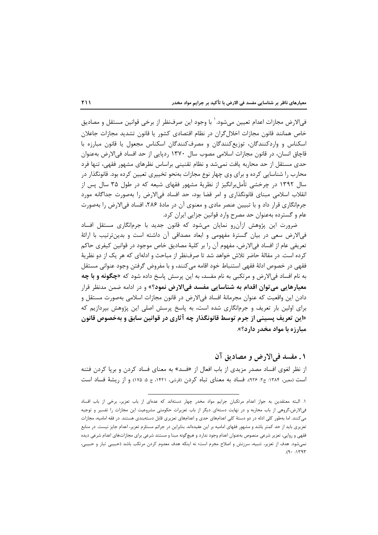في|لارض مجازات اعدام تعيين مي شود. ٰ با وجود اين صرفنظر از برخي قوانين مستقل و مصاديق خاص همانند قانون مجازات اخلال گران در نظام اقتصادی کشور یا قانون تشدید مجازات جاعلان اسکناس و واردکنندگان، توزیع کنندگان و مصرف کنندگان اسکناس مجعول یا قانون مبارزه با قاچاق انسان، در قانون مجازات اسلامی مصوب سال ۱۳۷۰ ردپایی از حد افساد فی|لارض بهعنوان حدی مستقل از حد محاربه یافت نمی شد و نظام تقنینی براساس نظرهای مشهور فقهی، تنها فرد محارب را شناسایی کرده و برای وی چهار نوع مجازات بهنحو تخییری تعیین کرده بود. قانونگذار در سال ۱۳۹۲ در چرخشی تأملبرانگیز از نظریهٔ مشهور فقهای شیعه که در طول ۳۵ سال پس از انقلاب اسلامی مبنای قانونگذاری و امر قضا بود، حد افساد فی الارض را بهصورت جداگانه مورد جرمانگاری قرار داد و با تبیین عنصر مادی و معنوی آن در مادهٔ ۲۸۶، افساد فی|لارض را بهصورت عام و گسترده بهعنوان حد مصرح وارد قوانین جزایی ایران کرد.

ضرورت این پژوهش ازآن٫و نمایان می٬شود که قانون جدید با جرمانگاری مستقل افساد فیالارض سعی در بیان گسترهٔ مفهومی و ابعاد مصداقی آن داشته است و بدینترتیب با ارائهٔ تعريفي عام از افساد في|لارض، مفهوم آن را بر كليهٔ مصاديق خاص موجود در قوانين كيفري حاكم کرده است. در مقالهٔ حاضر تلاش خواهد شد تا صرفنظر از مباحث و ادلهای که هر یک از دو نظریهٔ فقهی در خصوص ادلهٔ فقهی استنباط خود اقامه میکنند، و با مفروض گرفتن وجود عنوانی مستقل به نام افساد فيالارض و مرتكبي به نام مفسد، به اين پرسش پاسخ داده شود كه «چ**گونه و با چه معیارهایی می توان اقدام به شناسایی مفسد فیالارض نمود**؟» و در ادامه ضمن مدنظر قرار دادن این واقعیت که عنوان مجرمانهٔ افساد فی|لارض در قانون مجازات اسلامی بهصورت مستقل و برای اولین بار تعریف و جرمانگاری شده است، به پاسخ پرسش اصلی این پژوهش بپردازیم که «این تعریف پسینی از جرم توسط قانونگذار چه آثاری در قوانین سابق و بهخصوص قانون مبارزه با مواد مخدر دارد؟».

١. مفسد في الارض و مصاديق آن

از نظر لغوی افساد مصدر مزیدی از باب افعال از «فسد» به معنای فساد کردن و برپا کردن فتنه است (معین، ۱۳۸۴: ج۲: ۹۲۶). فساد به معنای تباه کردن (قرشی، ۱۴۲۱، ج ۵: ۱۷۵) و از ریشهٔ فساد است

١. البته معتقدين به جواز اعدام مرتكبان جرايم مواد مخدر چهار دستهاند كه عدهاى از باب تعزير، برخى از باب افساد فیالارض،گروهی از باب محاربه و در نهایت دستهای دیگر از باب تعزیرات حکومتی مشروعیت این مجازات را تفسیر و توجیه میکنند. اما بهطور کلی ادله در دو دستهٔ کلی اعدامهای حدی و اعدامهای تعزیری قابل دستهبندی هستند. در فقه امامیه، مجازات تعزیری باید از حد کمتر باشد و مشهور فقهای امامیه بر این عقیدهاند. بنابراین در جرائم مستلزم تعزیر، اعدام جایز نیست. در منابع فقهی و روایی، تعزیر شرعی منصوص بهعنوان اعدام وجود ندارد و هیچگونه مبنا و مستند شرعی برای مجازاتهای اعدام شرعی دیده نمی شود. هدف از تعزیر، تنبیه، سرزنش و اصلاح مجرم است؛ نه اینکه هدف معدوم کردن مرتکب باشد (حبیبی تبار و حبیبی،  $P(Y_1 \cdot P)$ .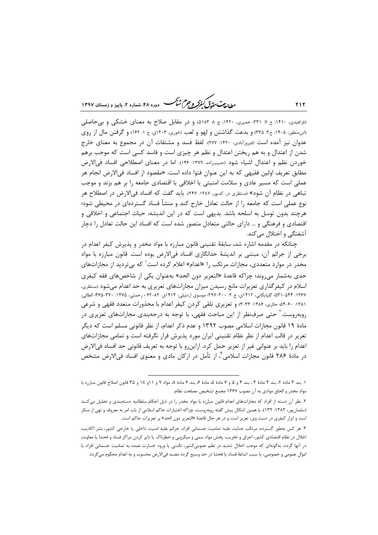ر الدیمت حقدقی کنفرکر و جرم شنگ دوره ۴۸، شعاره ۲، پاییز و زمستان ۱۳۹۷

(فراهیدی، ۱۴۱۰، ج ۷: ۲۳۱؛ حمیری، ۱۴۲۰، ج ۸: ۵۱۸۳) و در مقابل صلاح به معنای خشکی و بی حاصلی (ابن منظور، ۱۴۰۵، ج۳. ۳۳۵) و بدعت گذاشتن و لهو و لعب (خوری، ۱۴۰۳ق، ج ۱: ۱۶۲) و گرفتن مال از روی عدوان نیز آمده است (فیروزآبادی، ۱۴۲۰، ۲۷۷). لفظ فسد و مشتقات آن در مجموع به معنای خارج شدن از اعتدال و به هم ریختن اعتدال و نظم هر چیزی است و فاسد کسی است که موجب برهم خوردن نظم و اعتدال اشیاء شود (حبیبزاده، ۱۳۷۹: ۱۴۶). اما در معنای اصطلاحی افساد فی|لارض مطابق تعريف اولين فقيهي كه به اين عنوان فتوا داده است: «مقصود از افساد في|لارض انجام هر عملی است که مسیر عادی و سلامت امنیتی یا اخلاقی یا اقتصادی جامعه را بر هم بزند و موجب تباهي در نظام آن شود» (منتظري در: کديور، ١٣٨٧: ٢٤٧). بايد گفت که افساد في الارض در اصطلاح هر نوع عملی است که جامعه را از حالت تعادل خارج کند و منشأ فساد گستردهای در محیطی شود؛ هرچند بدون توسل به اسلحه باشد. بدیهی است که در این اندیشه، حیات اجتماعی و اخلاقی و اقتصادی و فرهنگی و … دارای حالتی متعادل متصور شده است که افساد این حالت تعادل را دچار آشفتگی و اختلال میکند.

چنانکه در مقدمه اشاره شد، سابقهٔ تقنینی قانون مبارزه با مواد مخدر و پذیرش کیفر اعدام در برخي از جرائم آن، مبتني بر انديشهٔ حدانگاري افساد في/لارض بوده است. قانون مبارزه با مواد مخدر در موارد متعددی، مجازات مرتکب را «اعدام» اعلام کرده است<sup>۱</sup> که بیتردید از مجازاتهای حدي بەشمار مے روند؛ چراکە قاعدۂ «التعزیر دون الحد» بەعنوان یکے از شاخص های فقه کیفری اسلام در کیفرگذاری تعزیرات مانع رسیدن میزان مجازاتهای تعزیری به حد اعدام می شود (منتظری، ١٣۶٧: ٥٣١-٥٣١؛ گلپايگاني، ١۴١٢ق، ج ٢: ٣٠٠-٢٩٧؛ موسوى اردبيلي، ١۴١٣ق: ٨٢-۶٢ ؛ رحمتي، ١٣٧۵: ٣۶٠-٣۶۵؛ الطائي، ۱۳۸۱: ۴۰-۵۴؛ حائری، ۱۳۸۶: ۳۳-۳) و تعزیری تلقی کردن کیفر اعدام با محذورات متعدد فقهی و شرعی روبهروست. ٰ حتی صرفنظر از این مباحث فقهی، با توجه به درجهبندی مجازاتهای تعزیری در مادهٔ ۱۹ قانون مجازات اسلامی مصوب ۱۳۹۲ و عدم ذکر اعدام، از نظر قانونی مسلم است که دیگر تعزیر در قالب اعدام از نظر نظام تقنینی ایران مورد پذیرش قرار نگرفته است و تمامی مجازاتهای اعدام را بايد بر عنواني غير از تعزير حمل كرد. ازاين رو با توجه به تعريف قانوني حد افساد في الارض در مادهٔ ۲۸۶ قانون مجازات اسلامی ٔ، از تأمل در ارکان مادی و معنوی افساد فیالارض مشخص

١. بند ۴ مادهٔ ٢، بند ۴ مادهٔ ۴ ، بند ۴ و ۵ و ۶ مادهٔ ۵، مادهٔ ۶، بند ۶ مادهٔ ۸، مواد ۹ و ۱ و ۱۸ و ۳۵ قانون اصلاح قانون مبارزه با مواد مخدر و الحاق موادي به آن مصوب ۱۳۶۷ مجمع تشخيص مصلحت نظام.

۲. نظر آن دسته از افراد که مجازاتهای اعدام قانون مبارزه با مواد مخدر را در ذیل احکام سلطانیه دستهبندی و تحلیل میکنند (سلمان پور، ۱۳۸۲: ۱۳۲۲)، با همین اشکال پیش گفته روبهروست، چراکه اختیارات حاکم اسلامی از باب امر به معروف و نهی از منکر است و ابزار کیفری در دست وی، تعزیر است و در هر حال قاعدهٔ «التعزیر دون الحد» بر تعزیرات حاکم است.

۳. هر کس بهطور گسترده، مرتکب جنایت علیه تمامیت جسمانی افراد، جرائم علیه امنیت داخلی یا خارجی کشور، نشر اکاذیب، اخلال در نظام اقتصادی کشور، احراق و تخریب، پخش مواد سمی و میکروبی و خطرناک یا دایر کردن مراکز فساد و فحشا یا معاونت در آنها گردد، بهگونهای که موجب اخلال شدید در نظم عمومیکشور، ناامنی یا ورود خسارت عمده به تمامیت جسمانی افراد یا اموال عمومی و خصوصی، یا سبب اشاعهٔ فساد یا فحشا در حد وسیع گردد مفسد فیالارض محسوب و به اعدام محکوم میگردد.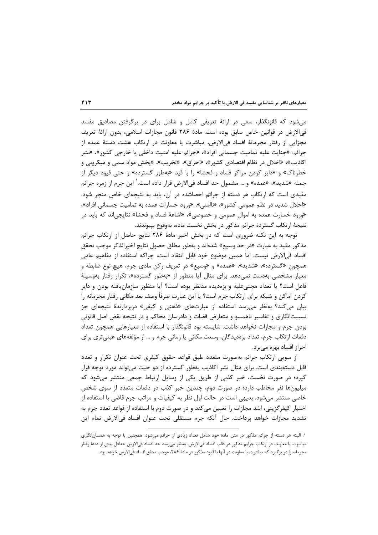می شود که قانونگذار، سعی در ارائهٔ تعریفی کامل و شامل برای در برگرفتن مصادیق مفسد في|لارض در قوانين خاص سابق بوده است. مادة ٢٨۶ قانون مجازات اسلامي، بدون ارائة تعريف مجزایی از رفتار مجرمانهٔ افساد فی|لارض، مباشرت یا معاونت در ارتکاب هشت دستهٔ عمده از جرائم: «جنايت عليه تماميت جسماني افراد»، «جرائم عليه امنيت داخلي يا خارجي كشور»، «نشر اکاذیب»، «اخلال در نظام اقتصادی کشور»، «احراق»، «تخریب»، «پخش مواد سمی و میکروبی و خطرناک» و «دایر کردن مراکز فساد و فحشا» را با قید «بهطور گسترده» و حتی قیود دیگر از جمله «شديد»، «عمده» و … مشمول حد افساد فيالارض قرار داده است. ٰ اين جرم از زمره جرائم مقیدی است که ارتکاب هر دسته از جرائم احصاشده در آن، باید به نتیجهای خاص منجر شود. «اخلال شدید در نظم عمومی کشور»، «ناامنی»، «ورود خسارات عمده به تمامیت جسمانی افراد»، «ورود خسارت عمده به اموال عمومی و خصوصی»، «اشاعهٔ فساد و فحشا» نتایجی|ند که باید در نتيجهٔ ارتكاب گستردهٔ جرائم مذكور در بخش نخست ماده، بهوقوع بپيوندند.

توجه به این نکته ضروری است که در بخش اخیر مادهٔ ۲۸۶ نتایج حاصل از ارتکاب جرائم مذكور مقيد به عبارت «در حد وسيع» شدهاند و بهطور مطلق حصول نتايج اخيرالذكر موجب تحقق افساد في|لارض نيست. اما همين موضوع خود قابل انتقاد است، چراكه استفاده از مفاهيم عامي همچون «گسترده»، «شدید»، «عمده» و «وسیع» در تعریف رکن مادی جرم، هیچ نوع ضابطه و معیار مشخصی بهدست نمی دهد. برای مثال آیا منظور از «بهطور گسترده»، تکرار رفتار بهوسیلهٔ فاعل است؟ یا تعداد مجنیعلیه و بزهدیده مدنظر بوده است؟ آیا منظور سازمان یافته بودن و دایر کردن اماکن و شبکه برای ارتکاب جرم است؟ یا این عبارت صرفاً وصف بعد مکانی رفتار مجرمانه را بیان می کند؟ بهنظر می رسد استفاده از عبارتهای «ذهنی و کیفی» دربردارندهٔ نتیجهای جز نسبیتانگاری و تفاسیر ناهمسو و متعارض قضات و دادرسان محاکم و در نتیجه نقض اصل قانونی بودن جرم و مجازات نخواهد داشت. شایسته بود قانونگذار با استفاده از معیارهایی همچون تعداد دفعات ارتکاب جرم، تعداد بزهدیدگان، وسعت مکانی یا زمانی جرم و … از مؤلفههای عینی تری برای احراز افساد بھرہ مے ہرد.

از سویی ارتکاب جرائم بهصورت متعدد طبق قواعد حقوق کیفری تحت عنوان تکرار و تعدد قابل دستهبندی است. برای مثال نشر اکاذیب بهطور گسترده از دو حیث میتواند مورد توجه قرار گیرد؛ در صورت نخست، خبر کذبی از طریق یکی از وسایل ارتباط جمعی منتشر میشود که میلیونها نفر مخاطب دارد؛ در صورت دوم، چندین خبر کذب در دفعات متعدد از سوی شخص خاصی منتشر میشود. بدیهی است در حالت اول نظر به کیفیات و مراتب جرم قاضی با استفاده از اختیار کیفرگزینی، اشد مجازات را تعیین میکند و در صورت دوم با استفاده از قواعد تعدد جرم به تشديد مجازات خواهد يرداخت. حال آنكه جرم مستقلي تحت عنوان افساد في|لارض تمام اين

۱. البته هر دسته از جرائم مذکور در متن مادهٔ خود شامل تعداد زیادی از جرائم میشود. همچنین با توجه به همسان|نگاری مباشرت يا معاونت در ارتكاب جرايم مذكور در قالب افساد في|لارض، بهنظر مي,رسد حد افساد في|لارض حداقل بيش از دهها رفتار مجرمانه را در برگیرد که مباشرت یا معاونت در آنها با قیود مذکور در مادهٔ ۲۸۶، موجب تحقق افساد فیالارض خواهد بود.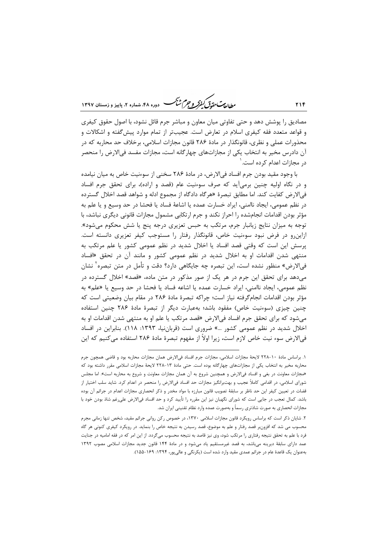ر .<br>مطالعات متحقق *کفوکر و جهم شنگ* دوده ۴۸، شعاره ۲، پاییز و زمستان ۱۳۹۷

مصادیق را پوشش دهد و حتی تفاوتی میان معاون و مباشر جرم قائل نشود، با اصول حقوق کیفری و قواعد متعدد فقه كيفري اسلام در تعارض است. عجيبتر از تمام موارد پيشگفته و اشكالات و محذورات عملی و نظری، قانونگذار در مادهٔ ۲۸۶ قانون مجازات اسلامی، برخلاف حد محاربه که در آن دادرس مخیر به انتخاب یکی از مجازاتهای چهارگانه است، مجازات مفسد فی|لارض را منحصر در مجازات اعدام کرده است.

با وجود مقید بودن جرم افساد فیالارض، در مادهٔ ۲۸۶ سخنی از سوءنیت خاص به میان نیامده و در نگاه اولیه چنین برمی آید که صرف سوءنیت عام (قصد و اراده)، برای تحقق جرم افساد في|لارض كفايت كند. اما مطابق تبصرهٔ «هرگاه دادگاه از مجموع ادله و شواهد قصد اخلال گسترده در نظم عمومی، ایجاد ناامنی، ایراد خسارت عمده یا اشاعهٔ فساد یا فحشا در حد وسیع و یا علم به مؤثر بودن اقدامات انجامشده را احراز نکند و جرم ارتکابی مشمول مجازات قانونی دیگری نباشد، با توجه به میزان نتایج زیانبار جرم، مرتکب به حبس تعزیری درجه پنج یا شش محکوم میشود». ازاین رو در فرض نبود سوءنیت خاص، قانونگذار رفتار را مستوجب کیفر تعزیری دانسته است. پرسش این است که وقتی قصد افساد یا اخلال شدید در نظم عمومی کشور یا علم مرتکب به منتهی شدن اقدامات او به اخلال شدید در نظم عمومی کشور و مانند آن در تحقق «افساد في|لارض» منظور نشده است، اين تبصره چه جايگاهي دارد؟ دقت و تأمل در متن تبصره` نشان می دهد برای تحقق این جرم در هر یک از صور مذکور در متن ماده، «قصد» اخلال گسترده در نظم عمومي، ايجاد ناامني، ايراد خسارت عمده يا اشاعه فساد يا فحشا در حد وسيع يا «علم» به مؤثر بودن اقدامات انجامگرفته نیاز است؛ چراکه تبصرهٔ مادهٔ ۲۸۶ در مقام بیان وضعیتی است که چنین چیزی (سوءنیت خاص) مفقود باشد؛ بهعبارت دیگر از تبصرهٔ مادهٔ ۲۸۶ چنین استفاده می شود که برای تحقق جرم افساد فی *الار*ض «قصد مرتکب یا علم او به منتهی شدن اقدامات او به اخلال شدید در نظم عمومی کشور …» ضروری است (قرباننیا، ۱۳۹۳: ۱۱۸). بنابراین در افساد في|لارض سوء نيت خاص لازم است، زيرا اولاً از مفهوم تبصرهٔ مادهٔ ۲۸۶ استفاده مي كنيم كه اين

١. براساس مادة ١٠-٢٢٨ لايحة مجازات اسلامي، مجازات جرم افساد فيالارض همان مجازات محاربه بود و قاضي همچون جرم محاربه مخیر به انتخاب یکی از مجازاتهای چهارگانه بوده است. حتی مادهٔ ۱۳-۲۲۸ لایحهٔ مجازات اسلامی مقرر داشته بود که «مجازات معاونت در بغی و افساد فیالارض و همچنین شروع به آن همان مجازات معاونت و شروع به محاربه است». اما مجلس شورای اسلامی، در اقدامی کاملاً عجیب و بهتبرانگیز مجازات حد افساد فیالارض را منحصر در اعدام کرد. شاید سلب اختیار از قضات در تعیین کیفر این حد ناظر بر سابقهٔ تصویب قانون مبارزه با مواد مخدر و ذکر انحصاری مجازات اعدام در جرائم آن بوده باشد. کمال تعجب در جایی است که شورای نگهبان نیز این مقرره را تأیید کرد و حد افساد فی|لارض علیرغم شاذ بودن خود با مجازات انحصاری به صورت شاذتری رسماً و بهصورت عمده وارد نظام تقنینی ایران شد.

۲. شایان ذکر است که براساس رویکرد قانون مجازات اسلامی ۱۳۷۰، در خصوص رکن روانی جرائم مقید، شخص تنها زمانی مجرم محسوب می شد که افزونبر قصد رفتار و علم به موضوع، قصد رسیدن به نتیجه خاص را بنماید. در رویکرد کیفری کنونی هر گاه فرد با علم به تحقق نتیجه رفتاری را مرتکب شود، وی نیز قاصد به نتیجه محسوب میگردد. از این امر که در فقه امامیه در جنایت عمد دارای سابقهٔ دیرینه میباشد، به قصد غیرمستقیم یاد میشود و در مادهٔ ۱۴۴ قانون جدید مجازات اسلامی مصوب ۱۳۹۲ بهعنوان یک قاعدهٔ عام در جرائم عمدی مقید وارد شده است (یکرنگی و عالی پور، ۱۳۹۴: ۱۵۵–۱۵۵).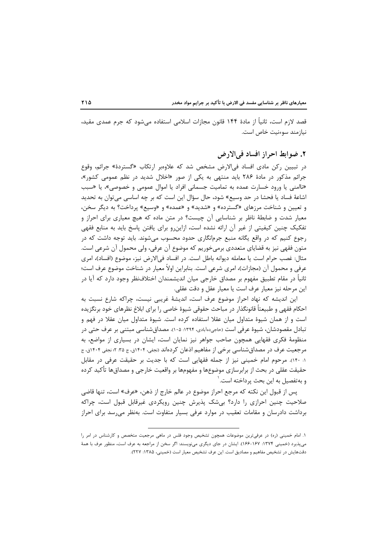قصد لازم است، ثانیاً از مادهٔ ۱۴۴ قانون مجازات اسلامی استفاده می،شود که جرم عمدی مقید، نيازمند سوءنيت خاص است.

#### ٢. ضوابط احراز افساد في الأرض

در تبیین رکن مادی افساد فیالارض مشخص شد که علاوهبر ارتکاب «گستردهٔ» جرائم، وقوع جرائم مذکور در مادهٔ ۲۸۶ باید منتهی به یکی از صور «اخلال شدید در نظم عمومی کشور»، «ناامني يا ورود خسارت عمده به تماميت جسماني افراد يا اموال عمومي و خصوصي»، يا «سبب اشاعهٔ فساد یا فحشا در حد وسیع» شود، حال سؤال این است که بر چه اساسی میتوان به تحدید و تعیین و شناخت مرزهای «گسترده» و «شدید» و «عمده» و «وسیع» پرداخت؟ به دیگر سخن، معیار شدت و ضابطهٔ ناظر بر شناسایی آن چیست؟ در متن ماده که هیچ معیاری برای احراز و تفکیک چنین کیفیتی از غیر آن ارائه نشده است، ازاینرو برای یافتن پاسخ باید به منابع فقهی رجوع کنیم که در واقع یگانه منبع جرمانگاری حدود محسوب میشوند. باید توجه داشت که در متون فقهی نیز به قضایای متعددی برمیخوریم که موضوع آن عرفی، ولی محمول آن شرعی است. مثال: غصب حرام است یا معامله دیوانه باطل است. در افساد فی|لارض نیز، موضوع (افساد)، امری عرفي و محمول آن (مجازات)، امري شرعي است. بنابراين اولاً معيار در شناخت موضوع عرف است؛ ثانیاً در مقام تطبیق مفهوم بر مصداق خارجی میان اندیشمندان اختلافنظر وجود دارد که آیا در اين مرحله نيز معيار عرف است يا معيار عقل و دقت عقلي.

این اندیشه که نهاد احراز موضوع عرف است، اندیشهٔ غریبی نیست، چراکه شارع نسبت به احکام فقهی و طبیعتاً قانونگذار در مباحث حقوقی شیوهٔ خاصی را برای ابلاغ نظرهای خود برنگزیده است و از همان شیوهٔ متداول میان عقلا استفاده کرده است. شیوهٔ متداول میان عقلا در فهم و تبادل مقصودشان، شیوهٔ عرفی است (حاجیدهآبادی، ۱۳۹۴: ۱۰۵). مصداقشناسی مبتنی بر عرف حتی در منظومهٔ فکری فقهایی همچون صاحب جواهر نیز نمایان است، ایشان در بسیاری از مواضع، به مرجعیت عرف در مصداقشناسی برخی از مفاهیم اذعان کردهاند (نجفی، ۱۴۰۴ق، ج ۳۵: ۲: نجفی ۱۴۰۴ق، ج ١: ١٢٠). مرحوم امام خميني نيز از جمله فقهايي است كه با جديت بر حقيقت عرفي در مقابل حقیقت عقلی در بحث از برابرسازی موضوعها و مفهومها بر واقعیت خارجی و مصداقها تأکید کرده و به تفصیل به این بحث پرداخته است. ۱

پس از قبول این نکته که مرجع احراز موضوع در عالم خارج از ذهن، «عرف» است، تنها قاضی صلاحیت چنین احرازی را دارد؟ بیشک پذیرش چنین رویکردی غیرقابل قبول است، چراکه برداشت دادرسان و مقامات تعقیب در موارد عرفی بسیار متفاوت است. بهنظر می رسد برای احراز

١. امام خميني (ره) در عرفي ترين موضوعات همچون تشخيص وجود فلس در ماهي مرجعيت متخصص و كارشناس در امر را مي پذيرد (خميني ١٣٧۴: ١۶٧-١۶۶). ايشان در جاي ديگري مي نويسند: اگر سخن از مراجعه به عرف است، منظور عرف با همهٔ دقتهایش در تشخیص مفاهیم و مصادیق است. این عرف تشخیص معیار است (خمینی، ۱۳۸۵: ۲۲۷).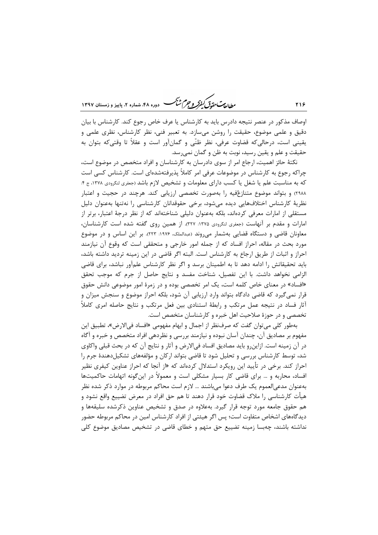ر .<br>روان**ه بهت متمدّق** *کفوکر و جرم شنگ* **دوره ۴۸، ش**ماره ۲، پاییز و زمستان ۱۳۹۷

اوصاف مذکور در عنصر نتیجه دادرس باید به کارشناس یا عرف خاص رجوع کند. کارشناس با بیان دقیق و علمی موضوع، حقیقت را روشن میسازد. به تعبیر فنی، نظر کارشناس، نظری علمی و يقيني است، درحالي كه قضاوت عرفي، نظر ظنّي و گمانآور است و عقلاً تا وقتي كه بتوان به حقیقت و علم و یقین رسید، نوبت به ظن و گمان نمی رسد.

۲۱۶

نکتهٔ حائز اهمیت، ارجاع امر از سوی دادرسان به کارشناسان و افراد متخصص در موضوع است، چراکه رجوع به کارشناس در موضوعات عرفی امر کاملاً پذیرفتهشدهای است. کارشناس کسی است که به مناسبت علم یا شغل یا کسب دارای معلومات و تشخیص لازم باشد (جفری لنگرودی ۱۳۷۸، ج ۴: ۲۹۸۸) و بتواند موضوع متنازعٌفیه را بهصورت تخصصی ارزیابی کند. هرچند در حجیت و اعتبار نظریهٔ کارشناس اختلافهایی دیده میشود، برخی حقوقدانان کارشناسی را نهتنها بهعنوان دلیل مستقلی از امارات معرفی کردهاند، بلکه بهعنوان دلیلی شناختهاند که از نظر درجهٔ اعتبار، برتر از امارات و مقدم بر آنهاست (جعفری لنگرودی ۱۳۷۵: ۳۲۷). از همین روی گفته شده است کارشناسان، معاونان قاضی و دستگاه قضایی بهشمار می روند (عبدالملک، ۱۹۷۶: ۲۲۳). بر این اساس و در موضوع مورد بحث در مقاله، احراز افساد که از جمله امور خارجی و متحققی است که وقوع آن نیازمند احراز و اثبات از طریق ارجاع به کارشناس است. البته اگر قاضی در این زمینه تردید داشته باشد، باید تحقیقاتش را ادامه دهد تا به اطمینان برسد و اگر نظر کارشناس علمآور نباشد، برای قاضی الزامی نخواهد داشت. با این تفصیل، شناخت مفسد و نتایج حاصل از جرم که موجب تحقق «افساد» در معنای خاص کلمه است، یک امر تخصصی بوده و در زمرهٔ امور موضوعی دانش حقوق قرار نمیگیرد که قاضی دادگاه بتواند وارد ارزیابی آن شود، بلکه احراز موضوع و سنجش میزان و آثار فساد در نتیجه عمل مرتکب و رابطهٔ استنادی بین فعل مرتکب و نتایج حاصله امری کاملاً تخصصی و در حوزهٔ صلاحیت اهل خبره و کارشناسان متخصص است.

بهطور كلي مي توان گفت كه صرفنظر از اجمال و ابهام مفهومي «افساد في|لارض»، تطبيق اين مفهوم بر مصادیق آن، چندان آسان نبوده و نیازمند بررسی و نظردهی افراد متخصص و خبره و آگاه در آن زمینه است. ازاین٫و باید مصادیق افساد فی|لارض و آثار و نتایج آن که در بحث قبلی واکاوی شد، توسط کارشناس بررسی و تحلیل شود تا قاضی بتواند ارکان و مؤلفههای تشکیلدهندهٔ جرم را احراز کند. برخی در تأیید این رویکرد استدلال کردهاند که «از آنجا که احراز عناوین کیفری نظیر افساد، محاربه و … برای قاضی کار بسیار مشکلی است و معمولاً در این گونه اتهامات حاکمیتها بهعنوان مدعى|لعموم يک طرف دعوا مى باشند … لازم است محاکم مربوطه در موارد ذکر شده نظر هیأت کارشناسی را ملاک قضاوت خود قرار دهند تا هم حق افراد در معرض تضییع واقع نشود و هم حقوق جامعه مورد توجه قرار گیرد. بهعلاوه در صدق و تشخیص عناوین ذکرشده سلیقهها و دیدگاههای اشخاص متفاوت است؛ پس اگر هیئتی از افراد کارشناس امین در محاکم مربوطه حضور نداشته باشند، چهبسا زمینه تضییع حق متهم و خطای قاضی در تشخیص مصادیق موضوع کلی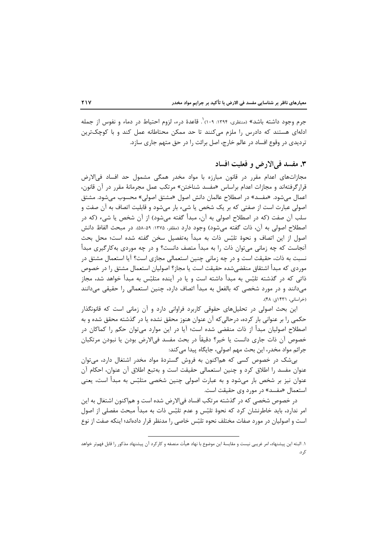جرم وجود داشته باشد» (منتظري، ۱۳۹۴: ۱۰۹) . قاعدهٔ درء، لزوم احتیاط در دماء و نفوس از جمله ادلهای هستند که دادرس را ملزم میکنند تا حد ممکن محتاطانه عمل کند و با کوچکترین تردیدی در وقوع افساد در عالم خارج، اصل برائت را در حق متهم جاری سازد.

### ۳. مفسد في الارض و فعلیت افساد

مجازاتهای اعدام مقرر در قانون مبارزه با مواد مخدر همگی مشمول حد افساد فی|لارض قرار گرفتهاند و مجازات اعدام براساس «مفسد شناختن» مرتکب عمل مجرمانهٔ مقرر در آن قانون، اعمال مي شود. «مفسد» در اصطلاح عالمان دانش اصول «مشتق اصولي» محسوب مي شود. مشتق اصولی عبارت است از صفتی که بر یک شخص یا شیء بار میشود و قابلیت اتصاف به آن صفت و سلب آن صفت (که در اصطلاح اصولی به آن، مبدأ گفته می،شود) از آن شخص یا شیء (که در اصطلاح اصولي به آن، ذات گفته مي شود) وجود دارد (مظفر، ١٣٧۵: ۵۹-۵۸). در مبحث الفاظ دانش اصول از این اتصاف و نحوهٔ تلبّس ذات به مبدأ بهتفصیل سخن گفته شده است؛ محل بحث آنجاست که چه زمانی می توان ذات ,ا به مبدأ متصف دانست؟ و در چه موردی بهکارگیری مبدأ نسبت به ذات، حقیقت است و در چه زمانی چنین استعمالی مجازی است؟ آیا استعمال مشتق در موردی که مبدأ اشتقاق منقضی شده حقیقت است یا مجاز؟ اصولیان استعمال مشتق را در خصوص ذاتی که در گذشته تلبّس به مبدأ داشته است و یا در آینده متلبّس به مبدأ خواهد شد، مجاز می دانند و در مورد شخصی که بالفعل به مبدأ اتصاف دارد، چنین استعمالی را حقیقی می دانند (خراسانی، ۱۴۳۱ق: ۴۸).

این بحث اصولی در تحلیلهای حقوقی کاربرد فراوانی دارد و آن زمانی است که قانونگذار حکمی را بر عنوانی بار کرده، درحالی که آن عنوان هنوز محقق نشده یا در گذشته محقق شده و به اصطلاح اصولیان مبدأ از ذات منقضی شده است؛ آیا در این موارد می¤وان حکم را کماکان در خصوص آن ذات جاري دانست يا خير؟ دقيقاً در بحث مفسد في|لارض بودن يا نبودن مرتكبان جرائم مواد مخدر، این بحث مهم اصولی، جایگاه پیدا می کند:

بی شک در خصوص کسی که هماکنون به فروش گستردهٔ مواد مخدر اشتغال دارد، می توان عنوان مفسد را اطلاق کرد و چنین استعمالی حقیقت است و بهتبع اطلاق آن عنوان، احکام آن عنوان نیز بر شخص بار میشود و به عبارت اصولی چنین شخصی متلبّس به مبدأ است، یعنی استعمال «مفسد» در مورد وی حقیقت است.

در خصوص شخصی که در گذشته مرتکب افساد فی|لارض شده است و هم|کنون اشتغال به این امر ندارد، باید خاطرنشان کرد که نحوهٔ تلبّس و عدم تلبّس ذات به مبدأ مبحث مفصلی از اصول است و اصولیان در مورد صفات مختلف نحوه تلبّس خاصی را مدنظر قرار دادهاند؛ اینکه صفت از نوع

١. البته اين پيشنهاد، امر غريبي نيست و مقايسهٔ اين موضوع با نهاد هيأت منصفه و كاركرد آن پيشنهاد مذكور را قابل فهمتر خواهد کر د.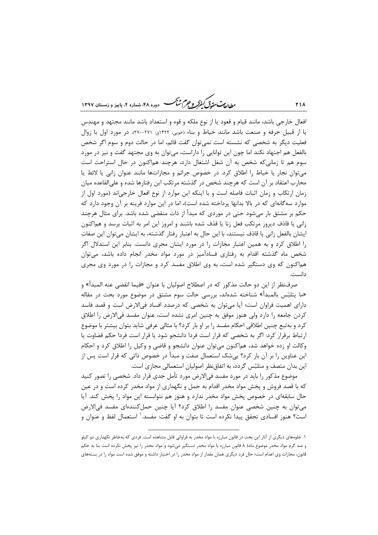ر<br>را داد مت متحدد گرفتر و جرم شنگ دوره ۴۸، شعاره ۲، پاییز و زمستان ۱۳۹۷

افعال خارجی باشد، مانند قیام و قعود یا از نوع ملکه و قوه و استعداد باشد مانند مجتهد و مهندس یا از قبیل حرفه و صنعت باشد مانند خیاط و بناء (خویی، ۱۴۲۲ق: ۲۷۱-۲۷۰). در مورد اول با زوال فعلیت دیگر به شخصی که نشسته است نمی توان گفت قائم، اما در حالت دوم و سوم اگر شخص بالفعل هم اجتهاد نكند اما چون اين توانايي را داراست، مي توان به وي مجتهد گفت و نيز در مورد سوم هم تا زمانی که شخص به آن شغل اشتغال دارد، هرچند هماکنون در حال استراحت است میتوان نجار یا خیاط را اطلاق کرد. در خصوص جرائم و مجازاتها مانند عنوان زانی یا لائط یا محارب اعتقاد بر آن است که هرچند شخص در گذشته مرتکب این رفتارها شده و علی|لقاعده میان زمان ارتکاب و زمان اثبات فاصله است و با اینکه این موارد از نوع افعال خارجیاند (مورد اول از موارد سه گانهای که در بالا بدانها پرداخته شده است)، اما در این موارد قرینه بر آن وجود دارد که حکم بر مشتق بار میشود حتی در موردی که مبدأ از ذات منقضی شده باشد. برای مثال هرچند زانی یا قاذف دیروز مرتکب فعل زنا یا قذف شده باشند و امروز این امر به اثبات برسد و هماکنون ایشان بالفعل زانی یا قاذف نیستند، با این حال به اعتبار رفتار گذشته، به ایشان می توان این صفات را اطلاق کرد و به همین اعتبار مجازات را در مورد ایشان مجری دانست. بنابر این استدلال اگر شخص ماه گذشته اقدام به رفتاری فسادآمیز در مورد مواد مخدر انجام داده باشد، می توان هم|کنون که وی دستگیر شده است، به وی اطلاق مفسد کرد و مجازات را در مورد وی مجری دانست.

صرفنظر از این دو حالت مذکور که در اصطلاح اصولیان با عنوان «فیما انقضی عنه المبدأ» و «ما يتلبّس بالمبدأ» شناخته شدهاند، بررسي حالت سوم مشتق در موضوع مورد بحث در مقاله دارای اهمیت فراوان است؛ آیا می توان به شخصی که درصدد افساد فی الارض است و قصد فاسد کردن جامعه را دارد ولی هنوز موفق به چنین امری نشده است، عنوان مفسد فی|لارض را اطلاق کرد و بهتبع چنین اطلاقی احکام مفسد را بر او بار کرد؟ با مثالی عرفی شاید بتوان بیشتر با موضوع ارتباط برقرار كرد: اگر به شخصی كه قرار است فردا دانشجو شود یا قرار است فردا حكم قضاوت یا وكالت او زده خواهد شد، هماكنون مى توان عنوان دانشجو و قاضى و وكيل را اطلاق كرد و احكام این عناوین را بر آن بار کرد؟ بیشک استعمال صفت و مبدأ در خصوص ذاتی که قرار است پس از این بدان متصف و متلبّس گردد، به اتفاق;نظر اصولیان استعمالی مجازی است.

موضوع مذکور را باید در مورد مفسد فیالارض مورد تأمل جدی قرار داد. شخصی را تصور کنید که با قصد فروش و یخش مواد مخدر اقدام به حمل و نگهداری از مواد مخدر کرده است و در عین حال سابقهای در خصوص پخش مواد مخدر ندارد و هنوز هم نتوانسته این مواد را پخش کند. آیا میتوان به چنین شخصی عنوان مفسد را اطلاق کرد؟ آیا چنین حملکنندهای مفسد فی الارض است؟ هنوز افسادي تحقق پيدا نكرده است تا بتوان به او گفت: مفسد.<sup>\</sup> استعمال لفظ و عنوان و

۱. جلومهای دیگری از آثار این بحث در قانون مبارزه با مواد مخدر به فراوانی قابل مشاهده است. فردی که بهخاطر نگهداری دو کیلو و صد گرم مواد مخدر موضوع مادهٔ ۸ قانون مبارزه با مواد مخدر دستگیر میشود و مواد مخدر را نیز پخش نکرده است بنا به حکم قانون، مجازات وی اعدام است؛ حال فرد دیگری همان مقدار از مواد مخدر را در اختیار داشته و موفق شده است مواد را در بستههای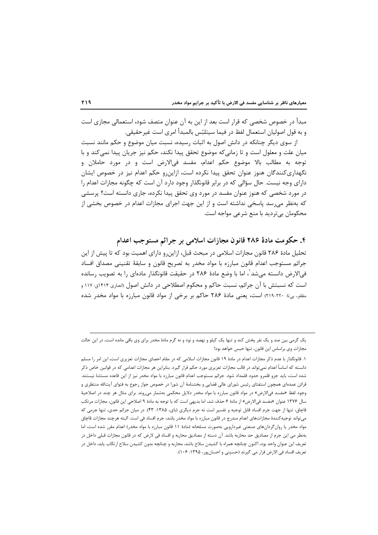مبدأ در خصوص شخصی که قرار است بعد از این به آن عنوان متصف شود، استعمالی مجازی است و به قول اصوليان استعمال لفظ در فيما سيتلبّس بالمبدأ امرى است غيرحقيقي.

از سوی دیگر چنانکه در دانش اصول به اثبات رسیده، نسبت میان موضوع و حکم مانند نسبت میان علت و معلول است و تا زمانی که موضوع تحقق پیدا نکند، حکم نیز جریان پیدا نمی کند و با توجه به مطالب بالا موضوع حکم اعدام، مفسد فی|لارض است و در مورد حاملان و نگهداری کنندگان هنوز عنوان تحقق پیدا نکرده است، ازاین٫و حکم اعدام نیز در خصوص ایشان دارای وجه نیست. حال سؤالی که در برابر قانونگذار وجود دارد آن است که چگونه مجازات اعدام را در مورد شخصی که هنوز عنوان مفسد در مورد وی تحقق پیدا نکرده، جاری دانسته است؟ پرسشی که بهنظر میرسد پاسخی نداشته است و از این جهت اجرای مجازات اعدام در خصوص بخشی از محکومان ہے تردید با منع شرعے مواجه است.

۴. حکومت مادهٔ ۲۸۶ قانون مجازات اسلامی بر جرائم مستوجب اعدام

تحلیل مادهٔ ۲۸۶ قانون مجازات اسلامی در مبحث قبل، ازاین٫و دارای اهمیت بود که تا پیش از این جرائم مستوجب اعدام قانون مبارزه با مواد مخدر به تصريح قانون و سابقهٔ تقنيني مصداق افساد في|لارض دانسته ميشد ٰ، اما با وضع مادهٔ ۲۸۶ در حقيقت قانونگذار مادهاي را به تصويب رسانده است که نسبتش با آن جرائم، نسبت حاکم و محکوم اصطلاحی در دانش اصول (انصاری ۱۴۱۴ق: ۱۱۷ و مظفر، بي¤: ٢٢٠-٢١٩) است، يعني مادة ٢٨۶ حاكم بر برخي از مواد قانون مبارزه با مواد مخدر شده

یک گرمی بین صد و یک نفر پخش کند و تنها یک کیلو و نهصد و نود و نه گرم مادهٔ مخدر برای وی باقی مانده است، در این حالت مجازات وى براساس اين قانون، تنها حبس خواهد بود!

١. قانونگذار با عدم ذكر مجازات اعدام در مادهٔ ١٩ قانون مجازات اسلامي كه در مقام احصاي مجازات تعزيري است، اين امر را مسلم دانسته که اساساً اعدام نمیتواند در قالب مجازات تعزیری مورد حکم قرار گیرد. بنابراین هر مجازات اعدامی که در قوانین خاص ذکر شده است، باید جزو قلمرو حدود قلمداد شود. جرائم مستوجب اعدام قانون مبارزه با مواد مخدر نیز از این قاعده مستثنا نیستند. قرائن عمدهای همچون استفتای رئیس شورای عالی قضایی و بخشنامهٔ آن شورا در خصوص جواز رجوع به فتوای آیتالله منتظری و وجود لفظ «مفسد في|لارض» در مواد قانون مبارزه با مواد مخدر دلايل محکمي بهشمار ميروند. براي مثال هر چند در اصلاحيهٔ سال ۱۳۷۶ عنوان «مفسد في|لارض» از مادهٔ ۶ حذف شد، اما بديهي است كه با توجه به مادهٔ ۹ اصلاحي اين قانون، مجازات مرتكب قاچاق، تنها از جهت جرم افساد قابل توجیه و تفسیر است نه جرم دیگری (بای، ۱۳۸۵: ۴۳). در میان جرائم حدی، تنها جرمی که می¤واند توجیهکنندهٔ مجازاتهای اعدام مندرج در قانون مبارزه با مواد مخدر باشد، جرم افساد فی است. البته هرچند مجازات قاچاق مواد مخدر یا روان گردانهای صنعتی غیردارویی بهصورت مسلحانه (مادهٔ ۱۱ قانون مبارزه با مواد مخدر) اعدام مقرر شده است، اما بهنظر می این جرم از مصادیق حد محاربه باشد. آن دسته از مصادیق محاربه و افساد فی لارض که در قانون مجازات قبلی داخل در تعریف این عنوان واحد بود، اکنون چنانچه همراه با کشیدن سلاح باشد، محاربه و چنانچه بدون کشیدن سلاح ارتکاب یابد، داخل در تعريف افساد في الارض قرار مي گيرند (حسيني و احسان پور، ۱۳۹۵: ۱۰۶).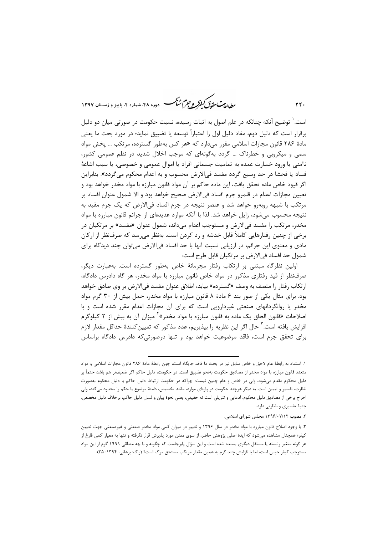ر ...<br>ر<u>طال</u>ی تحقی*ق گفترگر و جرم شنگ* دوره ۴۸، شعاره ۲، پاییز و زمستان ۱۳۹۷

است. ٰ توضیح آنکه چنانکه در علم اصول به اثبات رسیده، نسبت حکومت در صورتی میان دو دلیل برقرار است که دلیل دوم، مفاد دلیل اول را اعتباراً توسعه یا تضییق نماید؛ در مورد بحث ما یعنی مادهٔ ۲۸۶ قانون مجازات اسلامی مقرر می $c_1$ رد که «هر کس بهطور گسترده، مرتکب … یخش مواد سمی و میکروبی و خطرناک … گردد بهگونهای که موجب اخلال شدید در نظم عمومی کشور، ناامنی یا ورود خسارت عمده به تمامیت جسمانی افراد یا اموال عمومی و خصوصی، یا سبب اشاعهٔ فساد یا فحشا در حد وسیع گردد مفسد فیالارض محسوب و به اعدام محکوم میگردد». بنابراین اگر قیود خاص ماده تحقق یافت، این ماده حاکم بر آن مواد قانون مبارزه با مواد مخدر خواهد بود و تعيين مجازات اعدام در قلمرو جرم افساد في|لارض صحيح خواهد بود و الا شمول عنوان افساد بر مرتکب با شبهه روبه٫و خواهد شد و عنصر نتیجه در جرم افساد فی|لارض که یک جرم مقید به نتیجه محسوب می شود، زایل خواهد شد. لذا با آنکه موارد عدیدهای از جرائم قانون مبارزه با مواد مخدر، مرتکب را مفسد فیالارض و مستوجب اعدام میداند، شمول عنوان «مفسد» بر مرتکبان در برخی از چنین رفتارهایی کاملاً قابل خدشه و رد کردن است. بهنظر میرسد که صرفنظر از ارکان مادي و معنوي اين جرائم، در ارزيابي نسبت آنها با حد افساد فيالارض مي توان چند ديدگاه براي شمول حد افساد في|لارض بر مرتكبان قابل طرح است:

اولین نظرگاه مبتنی بر ارتکاب رفتار مجرمانهٔ خاص بهطور گسترده است. بهعبارت دیگر، صرفنظر از قید رفتاری مذکور در مواد خاص قانون مبارزه با مواد مخدر، هر گاه دادرس دادگاه، ارتكاب رفتار را متصف به وصف «گسترده» بيابد، اطلاق عنوان مفسد في|لارض بر وي صادق خواهد بود. برای مثال یکی از صور بند ۶ مادهٔ ۸ قانون مبارزه با مواد مخدر، حمل بیش از ۳۰ گرم مواد مخدر یا روانگردانهای صنعتی غیردارویی است که برای آن مجازات اعدام مقرر شده است و با اصلاحات «قانون الحاق یک ماده به قانون مبارزه با مواد مخدر»<sup>۲</sup> میزان آن به بیش از ۲ کیلوگرم افزايش يافته است.<sup>۲</sup> حال اگر اين نظريه را بپذيريم، عدد مذكور كه تعيينكنندهٔ حداقل مقدار لازم برای تحقق جرم است، فاقد موضوعیت خواهد بود و تنها درصورتی که دادرس دادگاه براساس

 $YY.$ 

١. استناد به رابطهٔ عام لاحق و خاص سابق نیز در بحث ما فاقد جایگاه است، چون رابطهٔ مادهٔ ٢٨۶ قانون مجازات اسلامی و مواد متعدد قانون مبارزه با مواد مخدر از مصاديق حكومت بهنحو تضييق است. در حكومت، دليل حاكم اگر ضعيفتر هم باشد حتماً بر .<br>دلیل محکوم مقدم میشود، ولی در خاص و عام چنین نیست؛ چراکه در حکومت ارتباط دلیل حاکم با دلیل محکوم بهصورت نظارت، تفسیر و تبیین است. به دیگر هرچند حکومت در پارهای موارد، مانند تخصیص، دامنهٔ موضوع یا حکم را محدود میکند، ولی اخراج برخی از مصادیق دلیل محکوم، ادعایی و تنزیلی است نه حقیقی، یعنی نحوهٔ بیان و لسان دلیل حاکم، برخلاف دلیل مخصص، جنبهٔ تفسیری و نظارتی دارد.

۲. مصوب ۱۳۹۶/۰۷/۱۲ مجلس شورای اسلامی.

۳. با وجود اصلاح قانون مبارزه با مواد مخدر در سال ۱۳۹۶ و تغییر در میزان کمی مواد مخدر صنعتی و غیرصنعتی جهت تعیین کیفر؛ همچنان مشاهده میشود که ایدهٔ اصلی پژوهش حاضر، از سوی مقنن مورد پذیرش قرار نگرفته و تنها به معیار کمی فارغ از هر گونه متغیر وابسته یا مستقل دیگری بسنده شده است و این سؤال پابرجاست که چگونه و با چه منطقے ۱۹۹۹ گرم از این مواد مستوجب کیفر حبس است، اما با افزایش چند گرم به همین مقدار مرتکب مستحق مرگ است؟ (ر.ک: برهانی، ۱۳۹۴: ۳۵).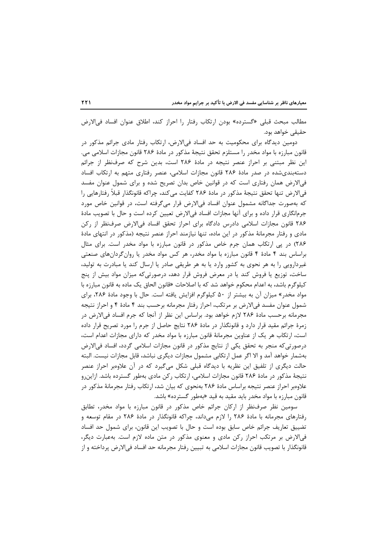مطالب مبحث قبلي «گسترده» بودن ارتكاب رفتار را احراز كند، اطلاق عنوان افساد في الارض حقیقی خواهد بود.

دومین دیدگاه برای محکومیت به حد افساد فی الارض، ارتکاب رفتار مادی جرائم مذکور در قانون مبارزه با مواد مخدر را مستلزم تحقق نتيجهٔ مذکور در مادهٔ ۲۸۶ قانون مجازات اسلامی می. این نظر مبتنی بر احراز عنصر نتیجه در مادهٔ ۲۸۶ است، بدین شرح که صرفنظر از جرائم دستهبندیشده در صدر مادهٔ ۲۸۶ قانون مجازات اسلامی، عنصر رفتاری متهم به ارتکاب افساد فی|لارض همان رفتاری است که در قوانین خاص بدان تصریح شده و برای شمول عنوان مفسد في|لارض تنها تحقق نتيجة مذكور در مادة ٢٨۶ كفايت مي كند، چراكه قانونگذار قبلاً رفتارهايي را که بهصورت جداگانه مشمول عنوان افساد فیالارض قرار میگرفته است، در قوانین خاص مورد جرمانگاری قرار داده و برای آنها مجازات افساد فیالارض تعیین کرده است و حال با تصویب مادهٔ ۲۸۶ قانون مجازات اسلامی دادرس دادگاه برای احراز تحقق افساد فی|لارض صرفنظر از رکن مادی و رفتار مجرمانهٔ مذکور در این ماده، تنها نیازمند احراز عنصر نتیجه (مذکور در انتهای مادهٔ ۲۸۶) در پی ارتکاب همان جرم خاص مذکور در قانون مبارزه با مواد مخدر است. برای مثال براساس بند ۴ مادهٔ ۴ قانون مبارزه با مواد مخدر، هر کس مواد مخدر یا روان گردانهای صنعتی غیردارویی را به هر نحوی به کشور وارد یا به هر طریقی صادر یا ارسال کند یا مبادرت به تولید، ساخت، توزیع یا فروش کند یا در معرض فروش قرار دهد، درصورتیکه میزان مواد بیش از پنج کیلوگرم باشد، به اعدام محکوم خواهد شد که با اصلاحات «قانون الحاق یک ماده به قانون مبارزه با مواد مخدر» میزان آن به بیشتر از ۵۰ کیلوگرم افزایش یافته است. حال با وجود مادهٔ ۲۸۶، برای شمول عنوان مفسد في|لارض بر مرتكب، احراز رفتار مجرمانه برحسب بند ۴ مادهٔ ۴ و احراز نتيجه مجرمانه برحسب مادهٔ ۲۸۶ لازم خواهد بود. براساس این نظر از آنجا که جرم افساد فی|لارض در زمرهٔ جرائم مقید قرار دارد و قانونگذار در مادهٔ ۲۸۶ نتایج حاصل از جرم را مورد تصریح قرار داده است، ارتکاب هر یک از عناوین مجرمانهٔ قانون مبارزه با مواد مخدر که دارای مجازات اعدام است، درصورتی که منجر به تحقق یکی از نتایج مذکور در قانون مجازات اسلامی گردد، افساد فی|لارض بهشمار خواهد آمد و الا اگر عمل ارتکابی مشمول مجازات دیگری نباشد، قابل مجازات نیست. البته حالت دیگری از تلفیق این نظریه با دیدگاه قبلی شکل میگیرد که در آن علاوهبر احراز عنصر نتیجهٔ مذکور در مادهٔ ۲۸۶ قانون مجازات اسلامی، ارتکاب رکن مادی بهطور گسترده باشد. ازاین٫و علاوهبر احراز عنصر نتیجه براساس مادهٔ ۲۸۶ بهنحوی که بیان شد، ارتکاب رفتار مجرمانهٔ مذکور در قانون مبارزه با مواد مخدر باید مقید به قید «بهطور گسترده» باشد.

سومین نظر صرفنظر از ارکان جرائم خاص مذکور در قانون مبارزه با مواد مخدر، تطابق رفتارهای مجرمانه با مادهٔ ۲۸۶ را لازم میداند، چراکه قانونگذار در مادهٔ ۲۸۶ در مقام توسعه و تضييق تعاريف جرائم خاص سابق بوده است و حال با تصويب اين قانون، براي شمول حد افساد فی|لارض بر مرتکب احراز رکن مادی و معنوی مذکور در متن ماده لازم است. بهعبارت دیگر، قانونگذار با تصويب قانون مجازات اسلامي به تبيين رفتار مجرمانه حد افساد في|لارض پرداخته و از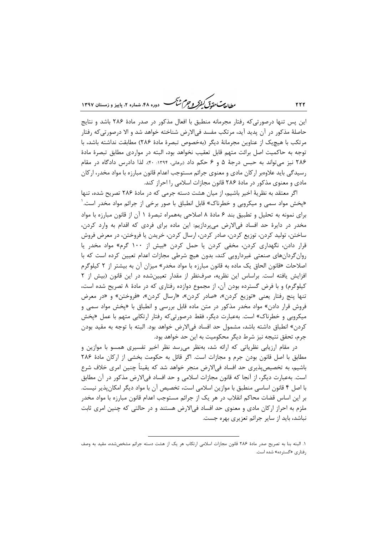ر .<br>رواد **مت تقدق کنفرکر و جرم ش**کر دوره ۴۸، شعاره ۲، پاییز و زمستان ۱۳۹۷

این پس تنها درصورتی که رفتار مجرمانه منطبق با افعال مذکور در صدر مادهٔ ۲۸۶ باشد و نتایج حاصلهٔ مذکور در آن پدید آید، مرتکب مفسد فیالارض شناخته خواهد شد و الا درصورتیکه رفتار مرتكب با هيچيک از عناوين مجرمانهٔ ديگر (بهخصوص تبصرهٔ مادهٔ ۲۸۶) مطابقت نداشته باشد، با توجه به حاكميت اصل برائت متهم قابل تعقيب نخواهد بود، البته در مواردي مطابق تبصرة مادة ۲۸۶ نیز میتواند به حبس درجهٔ ۵ و ۶ حکم داد (برهانی، ۱۳۹۴: ۴۰). لذا دادرس دادگاه در مقام رسیدگی باید علاوهبر ارکان مادی و معنوی جرائم مستوجب اعدام قانون مبارزه با مواد مخدر، ارکان مادی و معنوی مذکور در مادهٔ ۲۸۶ قانون مجازات اسلامی را احراز کند.

اگر معتقد به نظریهٔ اخیر باشیم، از میان هشت دسته جرمی که در مادهٔ ۲۸۶ تصریح شده، تنها «پخش مواد سمی و میکروبی و خطرناک» قابل انطباق با صور برخی از جرائم مواد مخدر است. <sup>۱</sup> برای نمونه به تحلیل و تطبیق بند ۶ مادهٔ ۸ اصلاحی بههمراه تبصرهٔ ۱ آن از قانون مبارزه با مواد مخدر در دایرهٔ حد افساد فی|لارض می پردازیم: این ماده برای فردی که اقدام به وارد کردن، ساختن، تولید کردن، توزیع کردن، صادر کردن، ارسال کردن، خریدن یا فروختن، در معرض فروش قرار دادن، نگهداری کردن، مخفی کردن یا حمل کردن «بیش از ۱۰۰ گرم» مواد مخدر یا روان گردانهای صنعتی غیردارویی کند، بدون هیچ شرطی مجازات اعدام تعیین کرده است که با اصلاحات «قانون الحاق یک ماده به قانون مبارزه با مواد مخدر» میزان آن به بیشتر از ۲ کیلوگرم افزایش یافته است. براساس این نظریه، صرف نظر از مقدار تعیین شده در این قانون (بیش از ۲ کیلوگرم) و با فرض گسترده بودن آن، از مجموع دوازده رفتاری که در مادهٔ ۸ تصریح شده است، تنها پنج رفتار یعنی «توزیع کردن»، «صادر کردن»، «ارسال کردن»، «فروختن» و «در معرض فروش قرار دادن» مواد مخدر مذکور در متن ماده قابل بررسی و انطباق با «پخش مواد سمی و میکروبی و خطرناک» است. بهعبارت دیگر، فقط درصورتی که رفتار ارتکابی متهم با عمل «پخش كردن» انطباق داشته باشد، مشمول حد افساد فيالارض خواهد بود. البته با توجه به مقيد بودن جرم، تحقق نتيجه نيز شرط ديگر محكوميت به اين حد خواهد بود.

در مقام ارزیابی نظریاتی که ارائه شد، بهنظر میرسد نظر اخیر تفسیری همسو با موازین و مطابق با اصل قانون بودن جرم و مجازات است. اگر قائل به حکومت بخشی از ارکان مادهٔ ۲۸۶ باشیم، به تخصیصپذیری حد افساد فیالارض منجر خواهد شد که یقیناً چنین امری خلاف شرع است. بهعبارت دیگر، از آنجا که قانون مجازات اسلامی و حد افساد فیالارض مذکور در آن مطابق با اصل ۴ قانون اساسی منطبق با موازین اسلامی است، تخصیص آن با مواد دیگر امکان پذیر نیست. بر این اساس قضات محاکم انقلاب در هر یک از جرائم مستوجب اعدام قانون مبارزه با مواد مخدر ملزم به احراز ارکان مادی و معنوی حد افساد فیالارض هستند و در حالتی که چنین امری ثابت نباشد، باید از سایر جرائم تعزیری بهره جست.

 $YYY$ 

١. البته بنا به تصريح صدر مادة ٢٨۶ قانون مجازات اسلامي ارتكاب هر يک از هشت دسته جرائم مشخص شده، مقيد به وصف رفتاری «گسترده» شده است.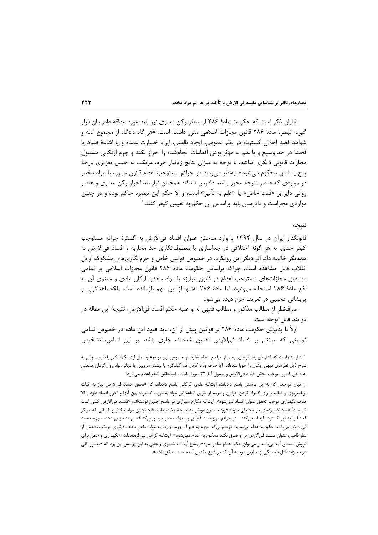شایان ذکر است که حکومت مادهٔ ۲۸۶ از منظر رکن معنوی نیز باید مورد مداقه دادرسان قرار گیرد. تبصرهٔ مادهٔ ۲۸۶ قانون مجازات اسلامی مقرر داشته است: «هر گاه دادگاه از مجموع ادله و شواهد قصد اخلال گسترده در نظم عمومی، ایجاد ناامنی، ایراد خسارت عمده و یا اشاعهٔ فساد یا فحشا در حد وسیع و یا علم به مؤثر بودن اقدامات انجامشده را احراز نکند و جرم ارتکابی مشمول مجازات قانونی دیگری نباشد، با توجه به میزان نتایج زیانبار جرم، مرتکب به حبس تعزیری درجهٔ پنج یا شش محکوم میشود». بهنظر میرسد در جرائم مستوجب اعدام قانون مبارزه با مواد مخدر در مواردی که عنصر نتیجه محرز باشد، دادرس دادگاه همچنان نیازمند احراز رکن معنوی و عنصر رواني داير بر «قصد خاص» يا «علم به تأثير» است، و الا حكم اين تبصره حاكم بوده و در چنين مواردي مجراست و دادرسان بايد براساس آن حكم به تعيين كيفر كنند.

#### نتىحە

قانونگذار ایران در سال ۱۳۹۲ با وارد ساختن عنوان افساد فیالارض به گسترهٔ جرائم مستوجب کیفر حدی، به هر گونه اختلافی در جداسازی یا معطوفانگاری حد محاربه و افساد فیالارض به همدیگر خاتمه داد. اثر دیگر این رویکرد، در خصوص قوانین خاص و جرمانگاریهای مشکوک اوایل انقلاب قابل مشاهده است، چراکه براساس حکومت مادهٔ ۲۸۶ قانون مجازات اسلامی بر تمامی مصادیق مجازاتهای مستوجب اعدام در قانون مبارزه با مواد مخدر، ارکان مادی و معنوی آن به نفع مادهٔ ۲۸۶ استحاله میشود. اما مادهٔ ۲۸۶ نهتنها از این مهم بازمانده است، بلکه ناهمگونی و پریشانی عجیبی در تعریف جرم دیده میشود.

صرفنظر از مطالب مذکور و مطالب فقهی له و علیه حکم افساد فی|لارض، نتیجهٔ این مقاله در دو بند قابل توجه است:

اولاً با پذیرش حکومت مادهٔ ۲۸۶ بر قوانین پیش از آن، باید قیود این ماده در خصوص تمامی قوانینی که مبتنی بر افساد فی|لارض تقنین شدهاند، جاری باشد. بر این اساس، تشخیص

١. شايسته است كه اشارهاي به نظرهاي برخي از مراجع عظام تقليد در خصوص اين موضوع بهعمل آيد. نگارندگان با طرح سؤالي به شرح ذیل نظرهای فقهی ایشان را جویا شدهاند: آیا صرف وارد کردن دو کیلوگرم یا بیشتر هروپین یا دیگر مواد روان گردان صنعتی به داخل کشور، موجب تحقق افساد في|لارض و شمول آيهٔ ٣٣ سورهٔ مائده و استحقاق کيفر اعدام ميشود؟

از میان مراجعی که به این پرسش پاسخ دادهاند، آیتالله علوی گرگانی پاسخ دادهاند که «تحقق افساد فی|لارض نیاز به اثبات برنامهریزی و فعالیت برای گمراه کردن جوانان و مردم از طریق اشاعهٔ این مواد بهصورت گسترده بین آنها و احراز افساد دارد و الا صرف نگهداری موجب تحقق عنوان افساد نمیشود». آیتالله مکارم شیرازی در پاسخ چنین نوشتهاند: «مفسد فیالارض کسی است که منشأ فساد گستردهای در محیطی شود؛ هرچند بدون توسّل به اسلحه باشد، مانند قاچاقچیان مواد مخدّر و کسانی که مراکز فحشا را بهطور گسترده ایجاد میکنند. در جرائم مربوط به قاچاق و… مواد مخدر درصورتیکه قاضی تشخیص دهد، مجرم مفسد فی|لارض میباشد حکم به اعدام مینماید. درصورتیکه مجرم به غیر از جرم مربوط به مواد مخدر تخلف دیگری مرتکب نشده و از نظر قاضی، عنوان مفسد فیالارض بر او صدق نکند محکوم به اعدام نمیشود». آیتالله گرامی نیز فرمودهاند: «نگهداری و حمل برای فروش مصداق آیه میباشد و میتوان حکم اعدام صادر نمود». پاسخ آیتالله شبیری زنجانی به این پرسش این بود که «بهطور کلی در مجازات قتل باید یکی از عناوین موجبه آن که در شرع مقدس آمده است محقق باشد».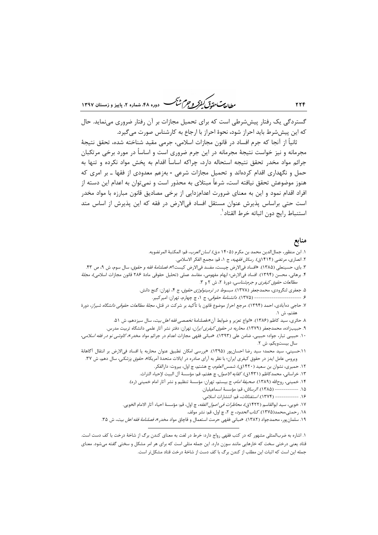ر الدیمت حقدقی کنفرکر و جرم شنگ دوره ۴۸، شعاره ۲، پاییز و زمستان ۱۳۹۷

گستردگی یک رفتار پیششرطی است که برای تحمیل مجازات بر آن رفتار ضروری می نماید. حال که این پیش شرط باید احراز شود، نحوهٔ احراز با ارجاع به کارشناس صورت میگیرد.

ثانياً از آنجا كه جرم افساد در قانون مجازات اسلامي، جرمي مقيد شناخته شده، تحقق نتيجهٔ مجرمانه و نیز خواست نتیجهٔ مجرمانه در این جرم ضروری است و اساساً در مورد برخی مرتکبان جرائم مواد مخدر تحقق نتيجه استحاله دارد، چراكه اساساً اقدام به يخش مواد نكرده و تنها به حمل و نگهداری اقدام کردهاند و تحمیل مجازات شرعی - بهزعم معدودی از فقها ـ بر امری که هنوز موضوعش تحقق نیافته است، شرعاً مبتلای به محذور است و نمی توان به اعدام این دسته از افراد اقدام نمود و این به معنای ضرورت اعدامزدایی از برخی مصادیق قانون مبارزه با مواد مخدر است حتی براساس پذیرش عنوان مستقل افساد فیالارض در فقه که این پذیرش از اساس متد استنباط رايج دون اثباته خرط القتاد ٰ.

# منابع

- ١. ابن منظور، جمالالدين محمد بن مكرم (١۴٠۵ ه.ق). *لسان العرب*، قم: المكتبة المرتضويه.
	- ۲. انصاری، مرتضی (۱۴۱۴ق). *رسائل فقهیه*، ج ۱، قم: مجمع الفکر الاسلامی.
- ۳. باي، حسينعلي (۱۳۸۵). «افساد فيالارض چيست، مفسد فيالارض كيست؟»، *فصلنامهٔ فقه و حقوق*، سال سوم، ش ۹، ص ۴۳.
- ۴. برهانی، محسن (۱۳۹۴). افساد فیالارض؛ ابهام مفهومی، مفاسد عملی (تحلیل حقوقی مادهٔ ۲۸۶ قانون مجازات اسلامی)، *مجلهٔ* مطالعات حقوق كيفرى وجرم شناسى، دورة ٢، ش ٢ و ٣.
	- ۵. جعفري لنگرودي، محمدجعفر (۱۳۷۸). *مبسوط در ترمينولوژي حقوق*، ج ۴، تهران: گنج دانش.
		- --------- (١٣٧۵). *دانشنامهٔ حقوقی،* ج ١، چ چهارم، تهران: امیرکبیر. -------------- 9
- ۷. حاجی دهآبادی، احمد (۱۳۹۴). مرجع احراز موضوع قانون با تأکید بر شرکت در قتل، *مجلهٔ مطالعات حقوقی دانشگاه شیراز*، دورهٔ هفتم، ش ۱.
	- ۸. حائري، سيد كاظم (۱۳۸۶). «انواع تعزير و ضوابط آن»،فصلنامهٔ *تخصصي فقه اهل بيت*، سال سيزدهم، ش ۵۱.
	- ۹. حبیب;اده، محمدجعفر (۱۳۷۹). *محاربه در حقوق کیفری ایران*، تهران: دفتر نشر آثار علمی دانشگاه تربیت مدرس.
- ۱۰. حبیبی تبار، جواد؛ حبیبی، ضامن علی (۱۳۹۳). «مبانی فقهی مجازات اعدام در جرائم مواد مخدر»، *کاوشی نو در فقه اسلامی*، سال بيستويكم، ش ٢.
- ١١.حسيني، سيد محمد؛ سيد رضا احسان ور (١٣٩۵). «بررسي امكان تطبيق عنوان محاربه يا افساد في|لارض بر انتقال أكاهانهُ ویروس عامل ایدز در حقوق کیفری ایران؛ با نظر به آرای صادره در ایالات متحدهٔ آمریکا»، *حقوق پزشکی*، سال دهم، ش ۳۷.
	- ۱۲. حمیری، نشوان بن سعید (۱۴۲۰ق). *شمس العلوم*، ج هشتم، چ اول، بیروت: دارالفکر.
	- ١٣. خراساني، محمدكاظم (١۴٣١ق). *كفايه الاصول*، چ هفتم، قم: مؤسسة آل البيت لإحياء التراث.
	- ۱۴. خمینی، روحالله (۱۳۸۹). *صحیفهٔ امام*، ج بیستم، تهران: مؤسسهٔ تنظیم و نشر آثار امام خمینی (ره).
		- ۱۵. ------------ (۱۳۸۵)*. الرسائل*، قم: مؤسسهٔ اسماعیلیان.<br>۱۶. ----------- (۱۳۷۴). *استفتائات*، قم: انتشارات اسلامی.
		-
	- ١٧. خويي، سيد ابوالقاسم (١۴٢٢ق)، *محاظرات في اصول الفقه*، چ اول، قم: مؤسسة احياء آثار الامام الخويي.
		- ۱۸. , حمتي،محمد(۱۳۷۵). *كتاب الحدود*، ج ۲، چ اول، قم: نشر مولف.
	- ۱۹. سلمان پور، محمدجواد (۱۳۸۲). «مبانی فقهی حرمت استعمال و قاچاق مواد مخدر»، *فصلنامهٔ فقه اهل بیت*، ش ۳۵.

۱. اشاره به ضربالمثلی مشهور که در کتب فقهی رواج دارد: خرط در لغت به معنای کندن برگ از شاخهٔ درخت با کف دست است. ۔<br>قتاد یعنی درختی سخت که خارهایی مانند سوزن دارد. این جمله مثلی است که برای هر امر مشکل و سختی گفته می شود. معنای جمله این است که اثبات این مطلب از کندن برگ با کف دست از شاخهٔ درخت قتاد مشکل تر است.